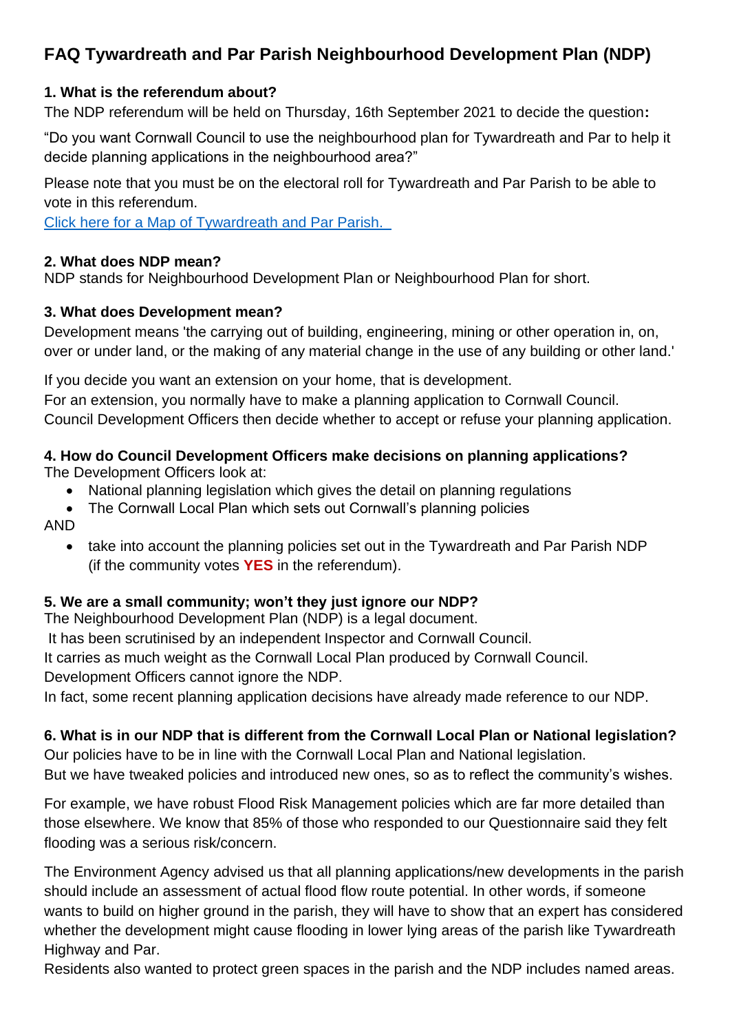# **FAQ Tywardreath and Par Parish Neighbourhood Development Plan (NDP)**

#### **1. What is the referendum about?**

The NDP referendum will be held on Thursday, 16th September 2021 to decide the question**:**

"Do you want Cornwall Council to use the neighbourhood plan for Tywardreath and Par to help it decide planning applications in the neighbourhood area?"

Please note that you must be on the electoral roll for Tywardreath and Par Parish to be able to vote in this referendum.

[Click here for a Map of Tywardreath and Par Parish.](https://emea01.safelinks.protection.outlook.com/?url=https%3A%2F%2Fwww.tywardreathandparparishcouncil.gov.uk%2Fdata%2Fuploads%2F1025_2045567544.pdf&data=04%7C01%7C%7C8df4c645114a477f192b08d970c337a4%7C84df9e7fe9f640afb435aaaaaaaaaaaa%7C1%7C0%7C637664806015118437%7CUnknown%7CTWFpbGZsb3d8eyJWIjoiMC4wLjAwMDAiLCJQIjoiV2luMzIiLCJBTiI6Ik1haWwiLCJXVCI6Mn0%3D%7C1000&sdata=Aqx96F%2FbJLbsiKkFh%2F%2Bejw%2FnLK2rYDBHam%2FsrmXe2Vg%3D&reserved=0)

#### **2. What does NDP mean?**

NDP stands for Neighbourhood Development Plan or Neighbourhood Plan for short.

#### **3. What does Development mean?**

Development means 'the carrying out of building, engineering, mining or other operation in, on, over or under land, or the making of any material change in the use of any building or other land.'

If you decide you want an extension on your home, that is development. For an extension, you normally have to make a planning application to Cornwall Council. Council Development Officers then decide whether to accept or refuse your planning application.

#### **4. How do Council Development Officers make decisions on planning applications?** The Development Officers look at:

- National planning legislation which gives the detail on planning regulations
- The Cornwall Local Plan which sets out Cornwall's planning policies

AND

• take into account the planning policies set out in the Tywardreath and Par Parish NDP (if the community votes **YES** in the referendum).

# **5. We are a small community; won't they just ignore our NDP?**

The Neighbourhood Development Plan (NDP) is a legal document.

It has been scrutinised by an independent Inspector and Cornwall Council.

It carries as much weight as the Cornwall Local Plan produced by Cornwall Council.

Development Officers cannot ignore the NDP.

In fact, some recent planning application decisions have already made reference to our NDP.

# **6. What is in our NDP that is different from the Cornwall Local Plan or National legislation?**

Our policies have to be in line with the Cornwall Local Plan and National legislation. But we have tweaked policies and introduced new ones, so as to reflect the community's wishes.

For example, we have robust Flood Risk Management policies which are far more detailed than those elsewhere. We know that 85% of those who responded to our Questionnaire said they felt flooding was a serious risk/concern.

The Environment Agency advised us that all planning applications/new developments in the parish should include an assessment of actual flood flow route potential. In other words, if someone wants to build on higher ground in the parish, they will have to show that an expert has considered whether the development might cause flooding in lower lying areas of the parish like Tywardreath Highway and Par.

Residents also wanted to protect green spaces in the parish and the NDP includes named areas.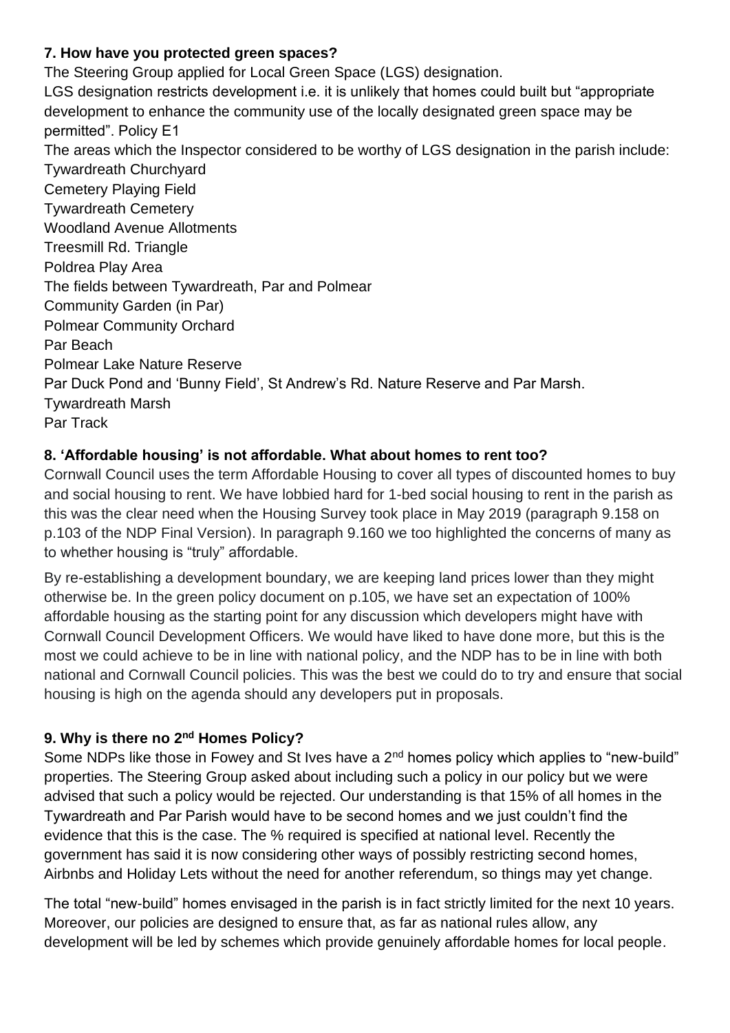# **7. How have you protected green spaces?**

The Steering Group applied for Local Green Space (LGS) designation. LGS designation restricts development i.e. it is unlikely that homes could built but "appropriate development to enhance the community use of the locally designated green space may be permitted". Policy E1 The areas which the Inspector considered to be worthy of LGS designation in the parish include: Tywardreath Churchyard Cemetery Playing Field Tywardreath Cemetery Woodland Avenue Allotments Treesmill Rd. Triangle Poldrea Play Area The fields between Tywardreath, Par and Polmear Community Garden (in Par) Polmear Community Orchard Par Beach Polmear Lake Nature Reserve Par Duck Pond and 'Bunny Field', St Andrew's Rd. Nature Reserve and Par Marsh. Tywardreath Marsh Par Track

#### **8. 'Affordable housing' is not affordable. What about homes to rent too?**

Cornwall Council uses the term Affordable Housing to cover all types of discounted homes to buy and social housing to rent. We have lobbied hard for 1-bed social housing to rent in the parish as this was the clear need when the Housing Survey took place in May 2019 (paragraph 9.158 on p.103 of the NDP Final Version). In paragraph 9.160 we too highlighted the concerns of many as to whether housing is "truly" affordable.

By re-establishing a development boundary, we are keeping land prices lower than they might otherwise be. In the green policy document on p.105, we have set an expectation of 100% affordable housing as the starting point for any discussion which developers might have with Cornwall Council Development Officers. We would have liked to have done more, but this is the most we could achieve to be in line with national policy, and the NDP has to be in line with both national and Cornwall Council policies. This was the best we could do to try and ensure that social housing is high on the agenda should any developers put in proposals.

# **9. Why is there no 2nd Homes Policy?**

Some NDPs like those in Fowey and St Ives have a 2<sup>nd</sup> homes policy which applies to "new-build" properties. The Steering Group asked about including such a policy in our policy but we were advised that such a policy would be rejected. Our understanding is that 15% of all homes in the Tywardreath and Par Parish would have to be second homes and we just couldn't find the evidence that this is the case. The % required is specified at national level. Recently the government has said it is now considering other ways of possibly restricting second homes, Airbnbs and Holiday Lets without the need for another referendum, so things may yet change.

The total "new-build" homes envisaged in the parish is in fact strictly limited for the next 10 years. Moreover, our policies are designed to ensure that, as far as national rules allow, any development will be led by schemes which provide genuinely affordable homes for local people.